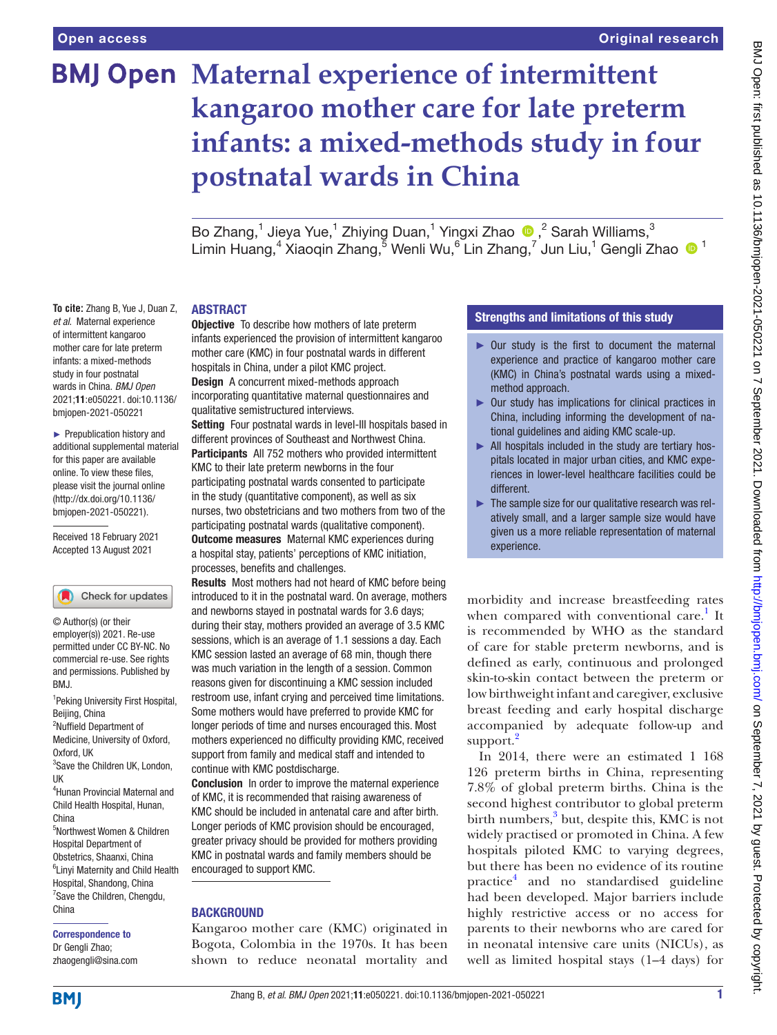**To cite:** Zhang B, Yue J, Duan Z, *et al*. Maternal experience of intermittent kangaroo mother care for late preterm infants: a mixed-methods study in four postnatal wards in China. *BMJ Open* 2021;11:e050221. doi:10.1136/ bmjopen-2021-050221 ► Prepublication history and additional supplemental material for this paper are available online. To view these files, please visit the journal online [\(http://dx.doi.org/10.1136/](http://dx.doi.org/10.1136/bmjopen-2021-050221) [bmjopen-2021-050221](http://dx.doi.org/10.1136/bmjopen-2021-050221)). Received 18 February 2021 Accepted 13 August 2021

# **BMJ Open Maternal experience of intermittent kangaroo mother care for late preterm infants: a mixed-methods study in four postnatal wards in China**

Bo Zhang,<sup>1</sup> Jieya Yue,<sup>1</sup> Zhiying Duan,<sup>1</sup> Yingxi Zhao ®,<sup>2</sup> Sarah Williams,<sup>3</sup> Limin Huang,<sup>4</sup> Xiaoqin Zhang,<sup>5</sup> Wenli Wu,<sup>6</sup> Lin Zhang,<sup>7</sup> Jun Liu,<sup>1</sup> Gengli Zhao <sup>1</sup>

### ABSTRACT

**Objective** To describe how mothers of late preterm infants experienced the provision of intermittent kangaroo mother care (KMC) in four postnatal wards in different hospitals in China, under a pilot KMC project. Design A concurrent mixed-methods approach incorporating quantitative maternal questionnaires and qualitative semistructured interviews.

Setting Four postnatal wards in level-III hospitals based in different provinces of Southeast and Northwest China. Participants All 752 mothers who provided intermittent KMC to their late preterm newborns in the four participating postnatal wards consented to participate in the study (quantitative component), as well as six nurses, two obstetricians and two mothers from two of the participating postnatal wards (qualitative component). **Outcome measures** Maternal KMC experiences during a hospital stay, patients' perceptions of KMC initiation, processes, benefits and challenges.

Results Most mothers had not heard of KMC before being introduced to it in the postnatal ward. On average, mothers and newborns stayed in postnatal wards for 3.6 days; during their stay, mothers provided an average of 3.5 KMC sessions, which is an average of 1.1 sessions a day. Each KMC session lasted an average of 68 min, though there was much variation in the length of a session. Common reasons given for discontinuing a KMC session included restroom use, infant crying and perceived time limitations. Some mothers would have preferred to provide KMC for longer periods of time and nurses encouraged this. Most mothers experienced no difficulty providing KMC, received support from family and medical staff and intended to continue with KMC postdischarge.

**Conclusion** In order to improve the maternal experience of KMC, it is recommended that raising awareness of KMC should be included in antenatal care and after birth. Longer periods of KMC provision should be encouraged, greater privacy should be provided for mothers providing KMC in postnatal wards and family members should be encouraged to support KMC.

### **BACKGROUND**

Kangaroo mother care (KMC) originated in Bogota, Colombia in the 1970s. It has been shown to reduce neonatal mortality and

## Strengths and limitations of this study

- ► Our study is the first to document the maternal experience and practice of kangaroo mother care (KMC) in China's postnatal wards using a mixedmethod approach.
- ► Our study has implications for clinical practices in China, including informing the development of national guidelines and aiding KMC scale-up.
- ► All hospitals included in the study are tertiary hospitals located in major urban cities, and KMC experiences in lower-level healthcare facilities could be different.
- ► The sample size for our qualitative research was relatively small, and a larger sample size would have given us a more reliable representation of maternal experience.

morbidity and increase breastfeeding rates when compared with conventional care.<sup>1</sup> It is recommended by WHO as the standard of care for stable preterm newborns, and is defined as early, continuous and prolonged skin-to-skin contact between the preterm or low birthweight infant and caregiver, exclusive breast feeding and early hospital discharge accompanied by adequate follow-up and support.<sup>[2](#page-7-1)</sup>

In 2014, there were an estimated 1 168 126 preterm births in China, representing 7.8% of global preterm births. China is the second highest contributor to global preterm birth numbers,<sup>[3](#page-7-2)</sup> but, despite this, KMC is not widely practised or promoted in China. A few hospitals piloted KMC to varying degrees, but there has been no evidence of its routine practic[e4](#page-7-3) and no standardised guideline had been developed. Major barriers include highly restrictive access or no access for parents to their newborns who are cared for in neonatal intensive care units (NICUs), as well as limited hospital stays (1–4 days) for

# Correspondence to

Dr Gengli Zhao; zhaogengli@sina.com

<sup>1</sup> Peking University First Hospital,

Check for updates

3 Save the Children UK, London,

4 Hunan Provincial Maternal and Child Health Hospital, Hunan,

5 Northwest Women & Children Hospital Department of Obstetrics, Shaanxi, China 6 Linyi Maternity and Child Health Hospital, Shandong, China <sup>7</sup> Save the Children, Chengdu,

Beijing, China <sup>2</sup>Nuffield Department of Medicine, University of Oxford,

© Author(s) (or their employer(s)) 2021. Re-use permitted under CC BY-NC. No commercial re-use. See rights and permissions. Published by

Oxford, IIK

UK

BMJ.

China

China

**BMI**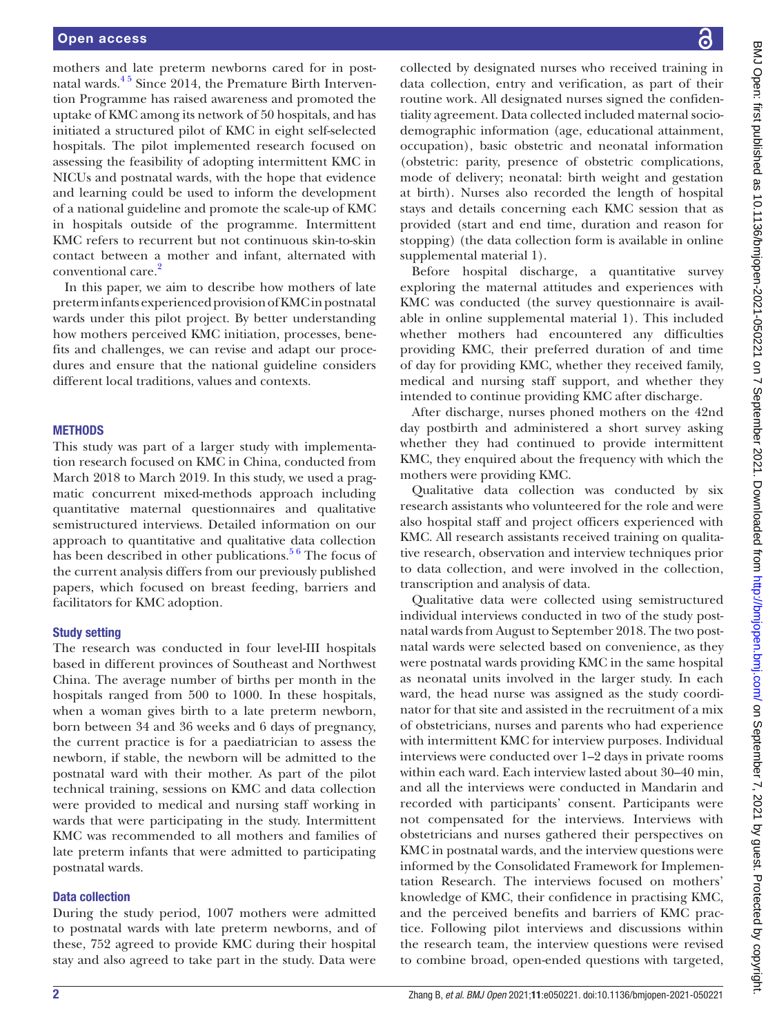mothers and late preterm newborns cared for in postnatal wards.<sup>45</sup> Since 2014, the Premature Birth Intervention Programme has raised awareness and promoted the uptake of KMC among its network of 50 hospitals, and has initiated a structured pilot of KMC in eight self-selected hospitals. The pilot implemented research focused on assessing the feasibility of adopting intermittent KMC in NICUs and postnatal wards, with the hope that evidence and learning could be used to inform the development of a national guideline and promote the scale-up of KMC in hospitals outside of the programme. Intermittent KMC refers to recurrent but not continuous skin-to-skin contact between a mother and infant, alternated with conventional care.<sup>[2](#page-7-1)</sup>

In this paper, we aim to describe how mothers of late preterm infants experienced provision of KMC in postnatal wards under this pilot project. By better understanding how mothers perceived KMC initiation, processes, benefits and challenges, we can revise and adapt our procedures and ensure that the national guideline considers different local traditions, values and contexts.

#### **METHODS**

This study was part of a larger study with implementation research focused on KMC in China, conducted from March 2018 to March 2019. In this study, we used a pragmatic concurrent mixed-methods approach including quantitative maternal questionnaires and qualitative semistructured interviews. Detailed information on our approach to quantitative and qualitative data collection has been described in other publications.<sup>56</sup> The focus of the current analysis differs from our previously published papers, which focused on breast feeding, barriers and facilitators for KMC adoption.

#### Study setting

The research was conducted in four level-III hospitals based in different provinces of Southeast and Northwest China. The average number of births per month in the hospitals ranged from 500 to 1000. In these hospitals, when a woman gives birth to a late preterm newborn, born between 34 and 36 weeks and 6 days of pregnancy, the current practice is for a paediatrician to assess the newborn, if stable, the newborn will be admitted to the postnatal ward with their mother. As part of the pilot technical training, sessions on KMC and data collection were provided to medical and nursing staff working in wards that were participating in the study. Intermittent KMC was recommended to all mothers and families of late preterm infants that were admitted to participating postnatal wards.

#### Data collection

During the study period, 1007 mothers were admitted to postnatal wards with late preterm newborns, and of these, 752 agreed to provide KMC during their hospital stay and also agreed to take part in the study. Data were

collected by designated nurses who received training in data collection, entry and verification, as part of their routine work. All designated nurses signed the confidentiality agreement. Data collected included maternal sociodemographic information (age, educational attainment, occupation), basic obstetric and neonatal information (obstetric: parity, presence of obstetric complications, mode of delivery; neonatal: birth weight and gestation at birth). Nurses also recorded the length of hospital stays and details concerning each KMC session that as provided (start and end time, duration and reason for stopping) (the data collection form is available in [online](https://dx.doi.org/10.1136/bmjopen-2021-050221)  [supplemental material 1](https://dx.doi.org/10.1136/bmjopen-2021-050221)).

Before hospital discharge, a quantitative survey exploring the maternal attitudes and experiences with KMC was conducted (the survey questionnaire is available in [online supplemental material 1](https://dx.doi.org/10.1136/bmjopen-2021-050221)). This included whether mothers had encountered any difficulties providing KMC, their preferred duration of and time of day for providing KMC, whether they received family, medical and nursing staff support, and whether they intended to continue providing KMC after discharge.

After discharge, nurses phoned mothers on the 42nd day postbirth and administered a short survey asking whether they had continued to provide intermittent KMC, they enquired about the frequency with which the mothers were providing KMC.

Qualitative data collection was conducted by six research assistants who volunteered for the role and were also hospital staff and project officers experienced with KMC. All research assistants received training on qualitative research, observation and interview techniques prior to data collection, and were involved in the collection, transcription and analysis of data.

Qualitative data were collected using semistructured individual interviews conducted in two of the study postnatal wards from August to September 2018. The two postnatal wards were selected based on convenience, as they were postnatal wards providing KMC in the same hospital as neonatal units involved in the larger study. In each ward, the head nurse was assigned as the study coordinator for that site and assisted in the recruitment of a mix of obstetricians, nurses and parents who had experience with intermittent KMC for interview purposes. Individual interviews were conducted over 1–2 days in private rooms within each ward. Each interview lasted about 30–40 min, and all the interviews were conducted in Mandarin and recorded with participants' consent. Participants were not compensated for the interviews. Interviews with obstetricians and nurses gathered their perspectives on KMC in postnatal wards, and the interview questions were informed by the Consolidated Framework for Implementation Research. The interviews focused on mothers' knowledge of KMC, their confidence in practising KMC, and the perceived benefits and barriers of KMC practice. Following pilot interviews and discussions within the research team, the interview questions were revised to combine broad, open-ended questions with targeted,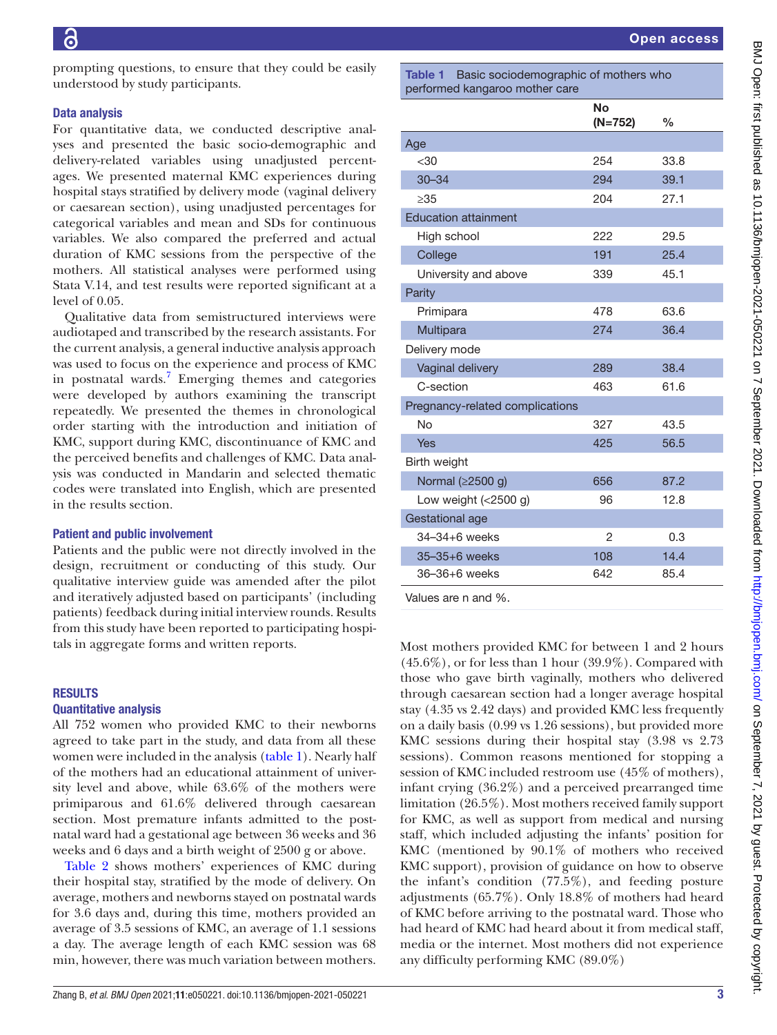prompting questions, to ensure that they could be easily understood by study participants.

### Data analysis

For quantitative data, we conducted descriptive analyses and presented the basic socio-demographic and delivery-related variables using unadjusted percentages. We presented maternal KMC experiences during hospital stays stratified by delivery mode (vaginal delivery or caesarean section), using unadjusted percentages for categorical variables and mean and SDs for continuous variables. We also compared the preferred and actual duration of KMC sessions from the perspective of the mothers. All statistical analyses were performed using Stata V.14, and test results were reported significant at a level of 0.05.

Qualitative data from semistructured interviews were audiotaped and transcribed by the research assistants. For the current analysis, a general inductive analysis approach was used to focus on the experience and process of KMC in postnatal wards.<sup>[7](#page-7-5)</sup> Emerging themes and categories were developed by authors examining the transcript repeatedly. We presented the themes in chronological order starting with the introduction and initiation of KMC, support during KMC, discontinuance of KMC and the perceived benefits and challenges of KMC. Data analysis was conducted in Mandarin and selected thematic codes were translated into English, which are presented in the results section.

#### Patient and public involvement

Patients and the public were not directly involved in the design, recruitment or conducting of this study. Our qualitative interview guide was amended after the pilot and iteratively adjusted based on participants' (including patients) feedback during initial interview rounds. Results from this study have been reported to participating hospitals in aggregate forms and written reports.

## RESULTS

## Quantitative analysis

All 752 women who provided KMC to their newborns agreed to take part in the study, and data from all these women were included in the analysis [\(table](#page-2-0) 1). Nearly half of the mothers had an educational attainment of university level and above, while 63.6% of the mothers were primiparous and 61.6% delivered through caesarean section. Most premature infants admitted to the postnatal ward had a gestational age between 36 weeks and 36 weeks and 6 days and a birth weight of 2500 g or above.

[Table](#page-3-0) 2 shows mothers' experiences of KMC during their hospital stay, stratified by the mode of delivery. On average, mothers and newborns stayed on postnatal wards for 3.6 days and, during this time, mothers provided an average of 3.5 sessions of KMC, an average of 1.1 sessions a day. The average length of each KMC session was 68 min, however, there was much variation between mothers.

<span id="page-2-0"></span>Table 1 Basic sociodemographic of mothers who performed kangaroo mother care

|                                 | <b>No</b><br>$(N=752)$ | $\frac{0}{0}$ |
|---------------------------------|------------------------|---------------|
| Age                             |                        |               |
| $30$                            | 254                    | 33.8          |
| $30 - 34$                       | 294                    | 39.1          |
| $\geq 35$                       | 204                    | 27.1          |
| <b>Education attainment</b>     |                        |               |
| High school                     | 222                    | 29.5          |
| College                         | 191                    | 25.4          |
| University and above            | 339                    | 45.1          |
| Parity                          |                        |               |
| Primipara                       | 478                    | 63.6          |
| Multipara                       | 274                    | 36.4          |
| Delivery mode                   |                        |               |
| Vaginal delivery                | 289                    | 38.4          |
| C-section                       | 463                    | 61.6          |
| Pregnancy-related complications |                        |               |
| No                              | 327                    | 43.5          |
| Yes                             | 425                    | 56.5          |
| Birth weight                    |                        |               |
| Normal (≥2500 g)                | 656                    | 87.2          |
| Low weight $(<2500 g)$          | 96                     | 12.8          |
| Gestational age                 |                        |               |
| 34-34+6 weeks                   | $\overline{2}$         | 0.3           |
| 35-35+6 weeks                   | 108                    | 14.4          |
| 36-36+6 weeks                   | 642                    | 85.4          |
| $\lambda$ loluga ara n and $0/$ |                        |               |

Values are n and %.

Most mothers provided KMC for between 1 and 2 hours  $(45.6\%)$ , or for less than 1 hour  $(39.9\%)$ . Compared with those who gave birth vaginally, mothers who delivered through caesarean section had a longer average hospital stay (4.35 vs 2.42 days) and provided KMC less frequently on a daily basis (0.99 vs 1.26 sessions), but provided more KMC sessions during their hospital stay (3.98 vs 2.73 sessions). Common reasons mentioned for stopping a session of KMC included restroom use (45% of mothers), infant crying (36.2%) and a perceived prearranged time limitation (26.5%). Most mothers received family support for KMC, as well as support from medical and nursing staff, which included adjusting the infants' position for KMC (mentioned by 90.1% of mothers who received KMC support), provision of guidance on how to observe the infant's condition (77.5%), and feeding posture adjustments (65.7%). Only 18.8% of mothers had heard of KMC before arriving to the postnatal ward. Those who had heard of KMC had heard about it from medical staff, media or the internet. Most mothers did not experience any difficulty performing KMC (89.0%)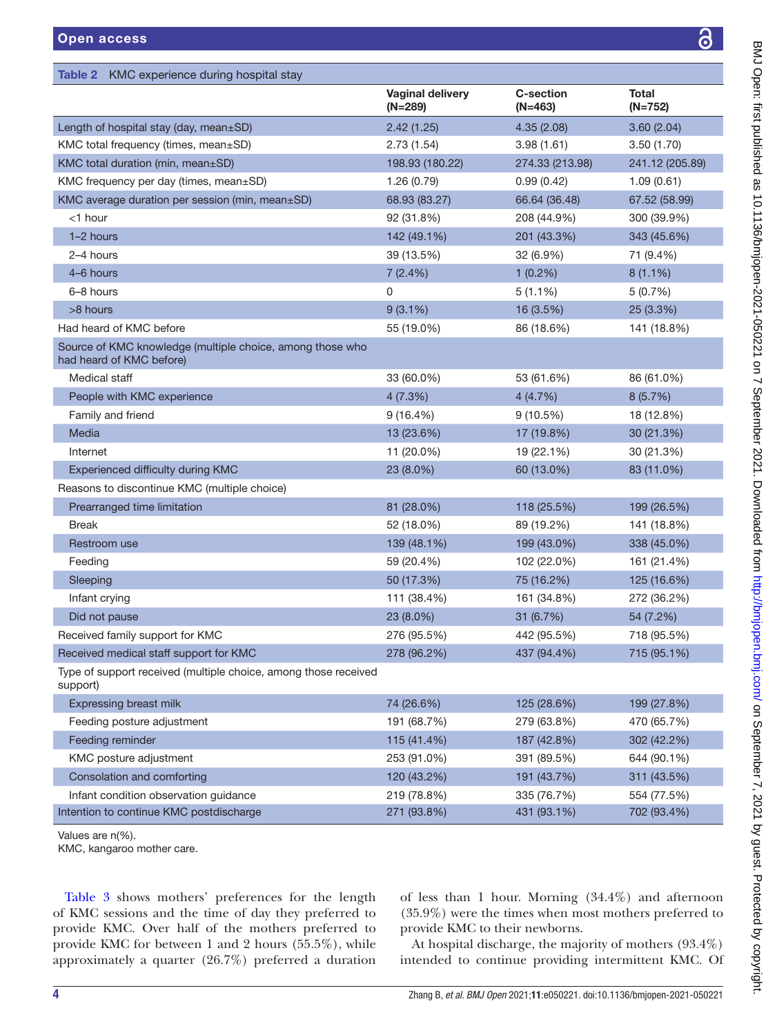<span id="page-3-0"></span>

| KMC experience during hospital stay<br>Table 2                                        |                                      |                               |                           |
|---------------------------------------------------------------------------------------|--------------------------------------|-------------------------------|---------------------------|
|                                                                                       | <b>Vaginal delivery</b><br>$(N=289)$ | <b>C-section</b><br>$(N=463)$ | <b>Total</b><br>$(N=752)$ |
| Length of hospital stay (day, mean±SD)                                                | 2.42(1.25)                           | 4.35(2.08)                    | 3.60(2.04)                |
| KMC total frequency (times, mean±SD)                                                  | 2.73(1.54)                           | 3.98(1.61)                    | 3.50(1.70)                |
| KMC total duration (min, mean±SD)                                                     | 198.93 (180.22)                      | 274.33 (213.98)               | 241.12 (205.89)           |
| KMC frequency per day (times, mean±SD)                                                | 1.26(0.79)                           | 0.99(0.42)                    | 1.09(0.61)                |
| KMC average duration per session (min, mean±SD)                                       | 68.93 (83.27)                        | 66.64 (36.48)                 | 67.52 (58.99)             |
| $<$ 1 hour                                                                            | 92 (31.8%)                           | 208 (44.9%)                   | 300 (39.9%)               |
| 1-2 hours                                                                             | 142 (49.1%)                          | 201 (43.3%)                   | 343 (45.6%)               |
| 2-4 hours                                                                             | 39 (13.5%)                           | 32 (6.9%)                     | 71 (9.4%)                 |
| 4-6 hours                                                                             | 7(2.4%)                              | $1(0.2\%)$                    | $8(1.1\%)$                |
| 6-8 hours                                                                             | 0                                    | $5(1.1\%)$                    | 5(0.7%)                   |
| >8 hours                                                                              | $9(3.1\%)$                           | 16 (3.5%)                     | 25 (3.3%)                 |
| Had heard of KMC before                                                               | 55 (19.0%)                           | 86 (18.6%)                    | 141 (18.8%)               |
| Source of KMC knowledge (multiple choice, among those who<br>had heard of KMC before) |                                      |                               |                           |
| Medical staff                                                                         | 33 (60.0%)                           | 53 (61.6%)                    | 86 (61.0%)                |
| People with KMC experience                                                            | 4(7.3%)                              | 4(4.7%)                       | 8(5.7%)                   |
| Family and friend                                                                     | $9(16.4\%)$                          | 9(10.5%)                      | 18 (12.8%)                |
| Media                                                                                 | 13 (23.6%)                           | 17 (19.8%)                    | 30 (21.3%)                |
| Internet                                                                              | 11 (20.0%)                           | 19 (22.1%)                    | 30 (21.3%)                |
| Experienced difficulty during KMC                                                     | 23 (8.0%)                            | 60 (13.0%)                    | 83 (11.0%)                |
| Reasons to discontinue KMC (multiple choice)                                          |                                      |                               |                           |
| Prearranged time limitation                                                           | 81 (28.0%)                           | 118 (25.5%)                   | 199 (26.5%)               |
| <b>Break</b>                                                                          | 52 (18.0%)                           | 89 (19.2%)                    | 141 (18.8%)               |
| Restroom use                                                                          | 139 (48.1%)                          | 199 (43.0%)                   | 338 (45.0%)               |
| Feeding                                                                               | 59 (20.4%)                           | 102 (22.0%)                   | 161 (21.4%)               |
| Sleeping                                                                              | 50 (17.3%)                           | 75 (16.2%)                    | 125 (16.6%)               |
| Infant crying                                                                         | 111 (38.4%)                          | 161 (34.8%)                   | 272 (36.2%)               |
| Did not pause                                                                         | 23 (8.0%)                            | 31 (6.7%)                     | 54 (7.2%)                 |
| Received family support for KMC                                                       | 276 (95.5%)                          | 442 (95.5%)                   | 718 (95.5%)               |
| Received medical staff support for KMC                                                | 278 (96.2%)                          | 437 (94.4%)                   | 715 (95.1%)               |
| Type of support received (multiple choice, among those received<br>support)           |                                      |                               |                           |
| Expressing breast milk                                                                | 74 (26.6%)                           | 125 (28.6%)                   | 199 (27.8%)               |
| Feeding posture adjustment                                                            | 191 (68.7%)                          | 279 (63.8%)                   | 470 (65.7%)               |
| Feeding reminder                                                                      | 115 (41.4%)                          | 187 (42.8%)                   | 302 (42.2%)               |
| KMC posture adjustment                                                                | 253 (91.0%)                          | 391 (89.5%)                   | 644 (90.1%)               |
| Consolation and comforting                                                            | 120 (43.2%)                          | 191 (43.7%)                   | 311 (43.5%)               |
| Infant condition observation guidance                                                 | 219 (78.8%)                          | 335 (76.7%)                   | 554 (77.5%)               |
| Intention to continue KMC postdischarge                                               | 271 (93.8%)                          | 431 (93.1%)                   | 702 (93.4%)               |
| Values are n(%).<br>KMC, kangaroo mother care.                                        |                                      |                               |                           |

[Table](#page-4-0) 3 shows mothers' preferences for the length of KMC sessions and the time of day they preferred to provide KMC. Over half of the mothers preferred to provide KMC for between 1 and 2 hours (55.5%), while approximately a quarter (26.7%) preferred a duration

of less than 1 hour. Morning (34.4%) and afternoon (35.9%) were the times when most mothers preferred to provide KMC to their newborns.

At hospital discharge, the majority of mothers (93.4%) intended to continue providing intermittent KMC. Of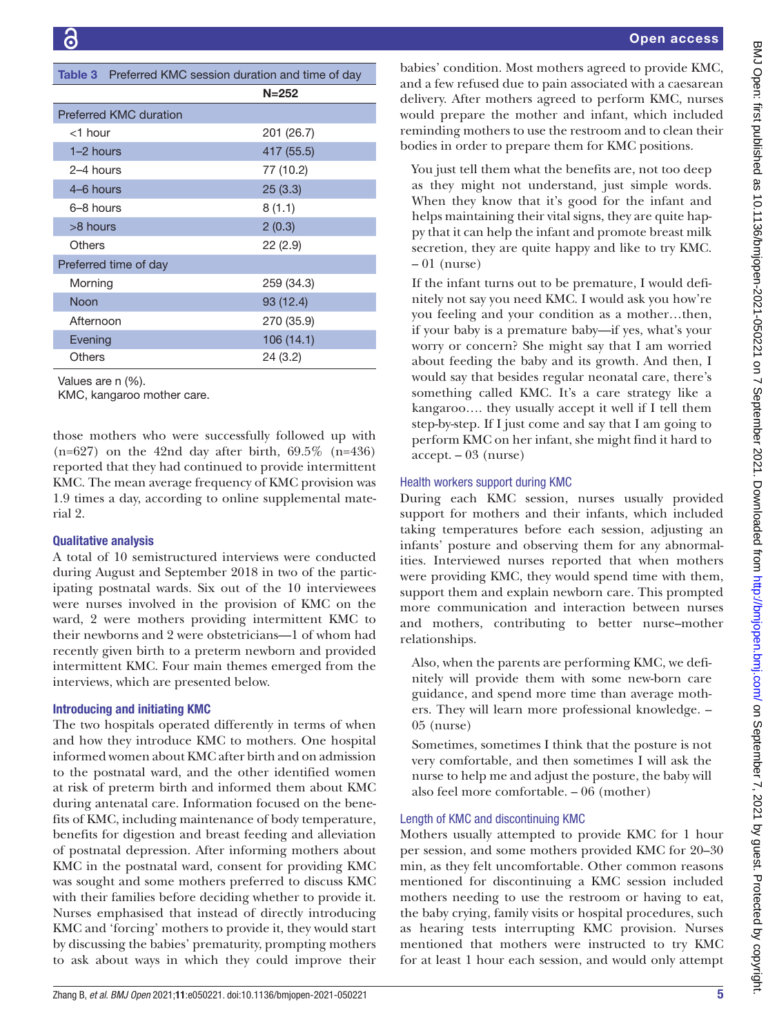<span id="page-4-0"></span>

| Table 3 Preferred KMC session duration and time of day |            |  |
|--------------------------------------------------------|------------|--|
|                                                        | $N = 252$  |  |
| <b>Preferred KMC duration</b>                          |            |  |
| $<$ 1 hour                                             | 201 (26.7) |  |
| 1–2 hours                                              | 417 (55.5) |  |
| $2-4$ hours                                            | 77 (10.2)  |  |
| 4–6 hours                                              | 25(3.3)    |  |
| $6-8$ hours                                            | 8(1.1)     |  |
| >8 hours                                               | 2(0.3)     |  |
| Others                                                 | 22(2.9)    |  |
| Preferred time of day                                  |            |  |
| Morning                                                | 259 (34.3) |  |
| Noon                                                   | 93 (12.4)  |  |
| Afternoon                                              | 270 (35.9) |  |
| Evening                                                | 106 (14.1) |  |
| <b>Others</b>                                          | 24 (3.2)   |  |
| Values are n (%).<br>KMC, kangaroo mother care.        |            |  |

those mothers who were successfully followed up with  $(n=627)$  on the 42nd day after birth, 69.5% (n=436) reported that they had continued to provide intermittent KMC. The mean average frequency of KMC provision was 1.9 times a day, according to [online supplemental mate](https://dx.doi.org/10.1136/bmjopen-2021-050221)[rial 2.](https://dx.doi.org/10.1136/bmjopen-2021-050221)

## Qualitative analysis

A total of 10 semistructured interviews were conducted during August and September 2018 in two of the participating postnatal wards. Six out of the 10 interviewees were nurses involved in the provision of KMC on the ward, 2 were mothers providing intermittent KMC to their newborns and 2 were obstetricians—1 of whom had recently given birth to a preterm newborn and provided intermittent KMC. Four main themes emerged from the interviews, which are presented below.

## Introducing and initiating KMC

The two hospitals operated differently in terms of when and how they introduce KMC to mothers. One hospital informed women about KMC after birth and on admission to the postnatal ward, and the other identified women at risk of preterm birth and informed them about KMC during antenatal care. Information focused on the benefits of KMC, including maintenance of body temperature, benefits for digestion and breast feeding and alleviation of postnatal depression. After informing mothers about KMC in the postnatal ward, consent for providing KMC was sought and some mothers preferred to discuss KMC with their families before deciding whether to provide it. Nurses emphasised that instead of directly introducing KMC and 'forcing' mothers to provide it, they would start by discussing the babies' prematurity, prompting mothers to ask about ways in which they could improve their

babies' condition. Most mothers agreed to provide KMC, and a few refused due to pain associated with a caesarean delivery. After mothers agreed to perform KMC, nurses would prepare the mother and infant, which included reminding mothers to use the restroom and to clean their bodies in order to prepare them for KMC positions.

You just tell them what the benefits are, not too deep as they might not understand, just simple words. When they know that it's good for the infant and helps maintaining their vital signs, they are quite happy that it can help the infant and promote breast milk secretion, they are quite happy and like to try KMC.  $-01$  (nurse)

If the infant turns out to be premature, I would definitely not say you need KMC. I would ask you how're you feeling and your condition as a mother…then, if your baby is a premature baby—if yes, what's your worry or concern? She might say that I am worried about feeding the baby and its growth. And then, I would say that besides regular neonatal care, there's something called KMC. It's a care strategy like a kangaroo…. they usually accept it well if I tell them step-by-step. If I just come and say that I am going to perform KMC on her infant, she might find it hard to accept. – 03 (nurse)

## Health workers support during KMC

During each KMC session, nurses usually provided support for mothers and their infants, which included taking temperatures before each session, adjusting an infants' posture and observing them for any abnormalities. Interviewed nurses reported that when mothers were providing KMC, they would spend time with them, support them and explain newborn care. This prompted more communication and interaction between nurses and mothers, contributing to better nurse–mother relationships.

Also, when the parents are performing KMC, we definitely will provide them with some new-born care guidance, and spend more time than average mothers. They will learn more professional knowledge. – 05 (nurse)

Sometimes, sometimes I think that the posture is not very comfortable, and then sometimes I will ask the nurse to help me and adjust the posture, the baby will also feel more comfortable. – 06 (mother)

# Length of KMC and discontinuing KMC

Mothers usually attempted to provide KMC for 1 hour per session, and some mothers provided KMC for 20–30 min, as they felt uncomfortable. Other common reasons mentioned for discontinuing a KMC session included mothers needing to use the restroom or having to eat, the baby crying, family visits or hospital procedures, such as hearing tests interrupting KMC provision. Nurses mentioned that mothers were instructed to try KMC for at least 1 hour each session, and would only attempt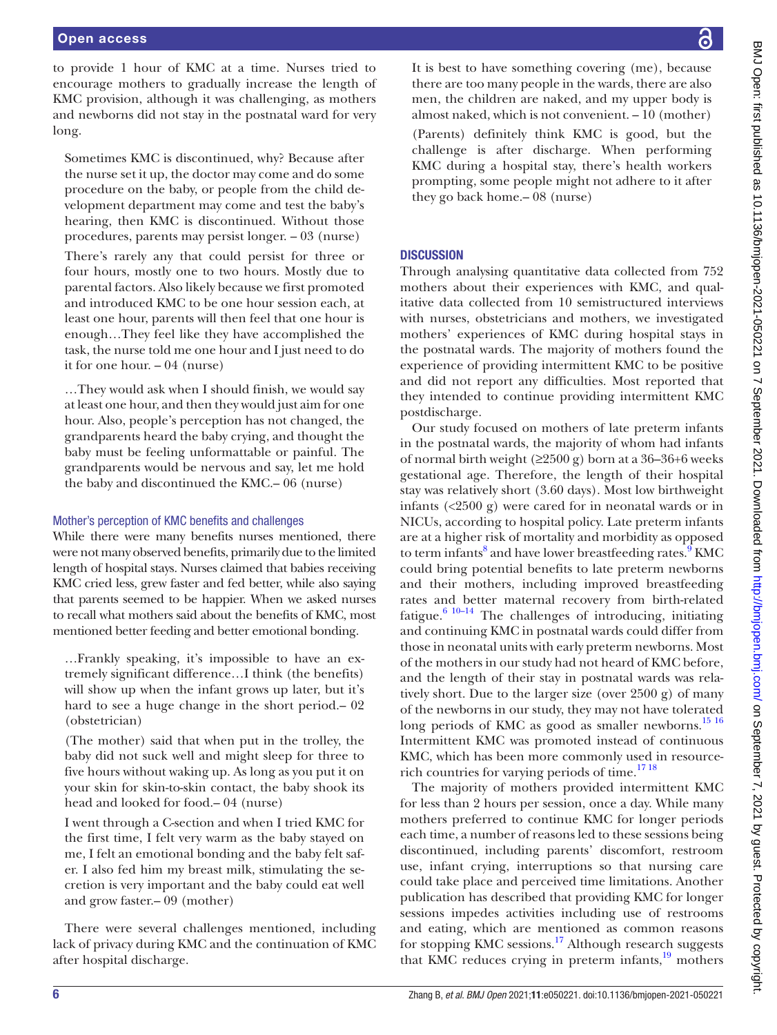to provide 1 hour of KMC at a time. Nurses tried to encourage mothers to gradually increase the length of KMC provision, although it was challenging, as mothers and newborns did not stay in the postnatal ward for very long.

Sometimes KMC is discontinued, why? Because after the nurse set it up, the doctor may come and do some procedure on the baby, or people from the child development department may come and test the baby's hearing, then KMC is discontinued. Without those procedures, parents may persist longer. – 03 (nurse)

There's rarely any that could persist for three or four hours, mostly one to two hours. Mostly due to parental factors. Also likely because we first promoted and introduced KMC to be one hour session each, at least one hour, parents will then feel that one hour is enough…They feel like they have accomplished the task, the nurse told me one hour and I just need to do it for one hour. – 04 (nurse)

…They would ask when I should finish, we would say at least one hour, and then they would just aim for one hour. Also, people's perception has not changed, the grandparents heard the baby crying, and thought the baby must be feeling unformattable or painful. The grandparents would be nervous and say, let me hold the baby and discontinued the KMC.– 06 (nurse)

## Mother's perception of KMC benefits and challenges

While there were many benefits nurses mentioned, there were not many observed benefits, primarily due to the limited length of hospital stays. Nurses claimed that babies receiving KMC cried less, grew faster and fed better, while also saying that parents seemed to be happier. When we asked nurses to recall what mothers said about the benefits of KMC, most mentioned better feeding and better emotional bonding.

…Frankly speaking, it's impossible to have an extremely significant difference…I think (the benefits) will show up when the infant grows up later, but it's hard to see a huge change in the short period.– 02 (obstetrician)

(The mother) said that when put in the trolley, the baby did not suck well and might sleep for three to five hours without waking up. As long as you put it on your skin for skin-to-skin contact, the baby shook its head and looked for food.– 04 (nurse)

I went through a C-section and when I tried KMC for the first time, I felt very warm as the baby stayed on me, I felt an emotional bonding and the baby felt safer. I also fed him my breast milk, stimulating the secretion is very important and the baby could eat well and grow faster.– 09 (mother)

There were several challenges mentioned, including lack of privacy during KMC and the continuation of KMC after hospital discharge.

It is best to have something covering (me), because there are too many people in the wards, there are also men, the children are naked, and my upper body is almost naked, which is not convenient. – 10 (mother)

(Parents) definitely think KMC is good, but the challenge is after discharge. When performing KMC during a hospital stay, there's health workers prompting, some people might not adhere to it after they go back home.– 08 (nurse)

## **DISCUSSION**

Through analysing quantitative data collected from 752 mothers about their experiences with KMC, and qualitative data collected from 10 semistructured interviews with nurses, obstetricians and mothers, we investigated mothers' experiences of KMC during hospital stays in the postnatal wards. The majority of mothers found the experience of providing intermittent KMC to be positive and did not report any difficulties. Most reported that they intended to continue providing intermittent KMC postdischarge.

Our study focused on mothers of late preterm infants in the postnatal wards, the majority of whom had infants of normal birth weight  $(≥2500 g)$  born at a 36–36+6 weeks gestational age. Therefore, the length of their hospital stay was relatively short (3.60 days). Most low birthweight infants (<2500 g) were cared for in neonatal wards or in NICUs, according to hospital policy. Late preterm infants are at a higher risk of mortality and morbidity as opposed to term infants<sup>8</sup> and have lower breastfeeding rates.<sup>9</sup> KMC could bring potential benefits to late preterm newborns and their mothers, including improved breastfeeding rates and better maternal recovery from birth-related fatigue. $6^{6}$  10–14 The challenges of introducing, initiating and continuing KMC in postnatal wards could differ from those in neonatal units with early preterm newborns. Most of the mothers in our study had not heard of KMC before, and the length of their stay in postnatal wards was relatively short. Due to the larger size (over 2500 g) of many of the newborns in our study, they may not have tolerated long periods of KMC as good as smaller newborns.<sup>15 16</sup> Intermittent KMC was promoted instead of continuous KMC, which has been more commonly used in resourcerich countries for varying periods of time.[17 18](#page-7-10)

The majority of mothers provided intermittent KMC for less than 2 hours per session, once a day. While many mothers preferred to continue KMC for longer periods each time, a number of reasons led to these sessions being discontinued, including parents' discomfort, restroom use, infant crying, interruptions so that nursing care could take place and perceived time limitations. Another publication has described that providing KMC for longer sessions impedes activities including use of restrooms and eating, which are mentioned as common reasons for stopping KMC sessions.<sup>[17](#page-7-10)</sup> Although research suggests that KMC reduces crying in preterm infants,<sup>19</sup> mothers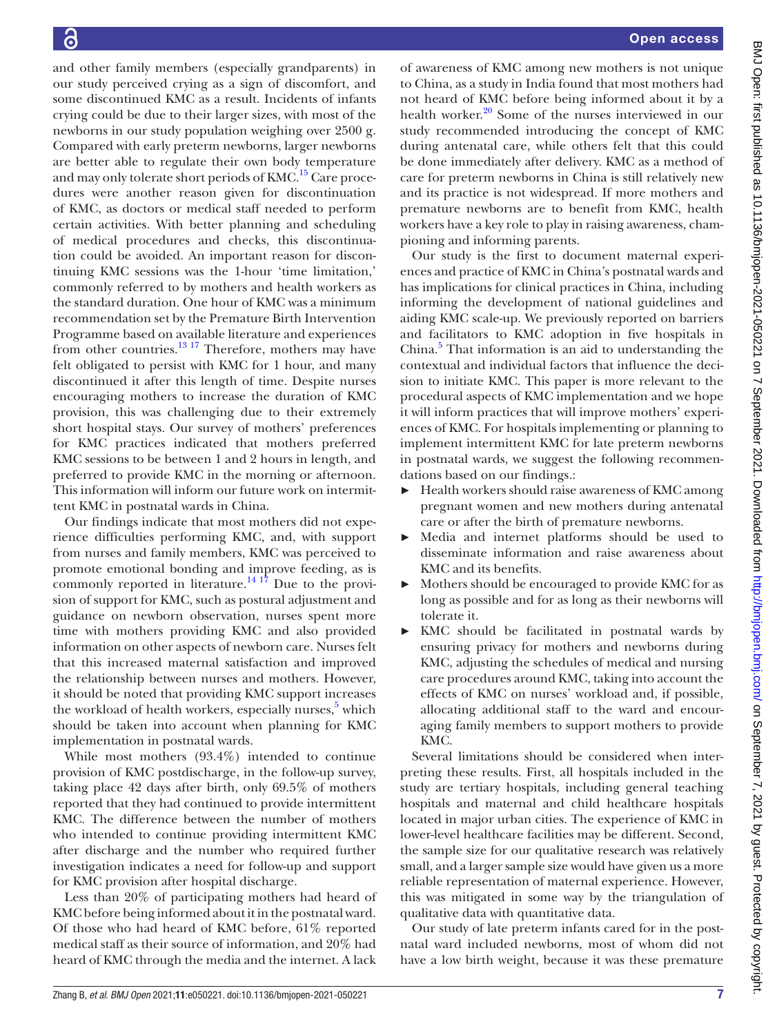and other family members (especially grandparents) in our study perceived crying as a sign of discomfort, and some discontinued KMC as a result. Incidents of infants crying could be due to their larger sizes, with most of the newborns in our study population weighing over 2500 g. Compared with early preterm newborns, larger newborns are better able to regulate their own body temperature and may only tolerate short periods of KMC.<sup>15</sup> Care procedures were another reason given for discontinuation of KMC, as doctors or medical staff needed to perform certain activities. With better planning and scheduling of medical procedures and checks, this discontinuation could be avoided. An important reason for discontinuing KMC sessions was the 1-hour 'time limitation,' commonly referred to by mothers and health workers as the standard duration. One hour of KMC was a minimum recommendation set by the Premature Birth Intervention Programme based on available literature and experiences from other countries. $13 \frac{17}{17}$  Therefore, mothers may have felt obligated to persist with KMC for 1 hour, and many discontinued it after this length of time. Despite nurses encouraging mothers to increase the duration of KMC provision, this was challenging due to their extremely short hospital stays. Our survey of mothers' preferences for KMC practices indicated that mothers preferred KMC sessions to be between 1 and 2 hours in length, and preferred to provide KMC in the morning or afternoon. This information will inform our future work on intermittent KMC in postnatal wards in China.

Our findings indicate that most mothers did not experience difficulties performing KMC, and, with support from nurses and family members, KMC was perceived to promote emotional bonding and improve feeding, as is commonly reported in literature.<sup>14 17</sup> Due to the provision of support for KMC, such as postural adjustment and guidance on newborn observation, nurses spent more time with mothers providing KMC and also provided information on other aspects of newborn care. Nurses felt that this increased maternal satisfaction and improved the relationship between nurses and mothers. However, it should be noted that providing KMC support increases the workload of health workers, especially nurses,<sup>5</sup> which should be taken into account when planning for KMC implementation in postnatal wards.

While most mothers (93.4%) intended to continue provision of KMC postdischarge, in the follow-up survey, taking place 42 days after birth, only 69.5% of mothers reported that they had continued to provide intermittent KMC. The difference between the number of mothers who intended to continue providing intermittent KMC after discharge and the number who required further investigation indicates a need for follow-up and support for KMC provision after hospital discharge.

Less than 20% of participating mothers had heard of KMC before being informed about it in the postnatal ward. Of those who had heard of KMC before, 61% reported medical staff as their source of information, and 20% had heard of KMC through the media and the internet. A lack

of awareness of KMC among new mothers is not unique to China, as a study in India found that most mothers had not heard of KMC before being informed about it by a health worker.<sup>[20](#page-7-14)</sup> Some of the nurses interviewed in our study recommended introducing the concept of KMC during antenatal care, while others felt that this could be done immediately after delivery. KMC as a method of care for preterm newborns in China is still relatively new and its practice is not widespread. If more mothers and premature newborns are to benefit from KMC, health workers have a key role to play in raising awareness, championing and informing parents.

Our study is the first to document maternal experiences and practice of KMC in China's postnatal wards and has implications for clinical practices in China, including informing the development of national guidelines and aiding KMC scale-up. We previously reported on barriers and facilitators to KMC adoption in five hospitals in China.<sup>[5](#page-7-4)</sup> That information is an aid to understanding the contextual and individual factors that influence the decision to initiate KMC. This paper is more relevant to the procedural aspects of KMC implementation and we hope it will inform practices that will improve mothers' experiences of KMC. For hospitals implementing or planning to implement intermittent KMC for late preterm newborns in postnatal wards, we suggest the following recommendations based on our findings.:

- ► Health workers should raise awareness of KMC among pregnant women and new mothers during antenatal care or after the birth of premature newborns.
- ► Media and internet platforms should be used to disseminate information and raise awareness about KMC and its benefits.
- ► Mothers should be encouraged to provide KMC for as long as possible and for as long as their newborns will tolerate it.
- ► KMC should be facilitated in postnatal wards by ensuring privacy for mothers and newborns during KMC, adjusting the schedules of medical and nursing care procedures around KMC, taking into account the effects of KMC on nurses' workload and, if possible, allocating additional staff to the ward and encouraging family members to support mothers to provide KMC.

Several limitations should be considered when interpreting these results. First, all hospitals included in the study are tertiary hospitals, including general teaching hospitals and maternal and child healthcare hospitals located in major urban cities. The experience of KMC in lower-level healthcare facilities may be different. Second, the sample size for our qualitative research was relatively small, and a larger sample size would have given us a more reliable representation of maternal experience. However, this was mitigated in some way by the triangulation of qualitative data with quantitative data.

Our study of late preterm infants cared for in the postnatal ward included newborns, most of whom did not have a low birth weight, because it was these premature